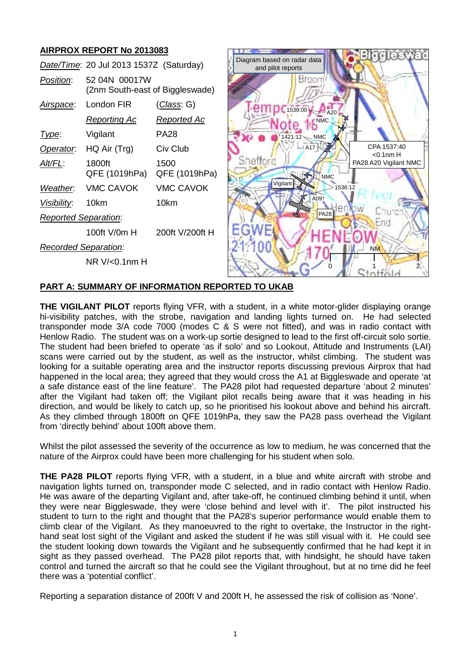# **AIRPROX REPORT No 2013083**

|                             | Date/Time: 20 Jul 2013 1537Z (Saturday)          |                       | Diagram based on radar data<br>and pilot reports | <u>Eiggleswad</u>          |
|-----------------------------|--------------------------------------------------|-----------------------|--------------------------------------------------|----------------------------|
| Position:                   | 52 04N 00017W<br>(2nm South-east of Biggleswade) |                       | Broom                                            |                            |
| Airspace:                   | London FIR                                       | <u>(Class</u> : G)    | $1538.00$ A20                                    |                            |
|                             | <u>Reporting Ac</u>                              | <u>Reported Ac</u>    | NMC                                              |                            |
| Type:                       | Vigilant                                         | <b>PA28</b>           | 1421:12 NMC                                      |                            |
| Operator.                   | HQ Air (Trg)                                     | Civ Club              | $-1A17$                                          | CPA 1537:40<br>$<$ 0.1nm H |
| Alt/FL:                     | 1800ft<br>QFE (1019hPa)                          | 1500<br>QFE (1019hPa) | Shefford<br><b>NMC</b>                           | PA28 A20 Vigilant NMC      |
| Weather.                    | <b>VMC CAVOK</b>                                 | <b>VMC CAVOK</b>      | Vigilant<br>$*1536:12$                           |                            |
| Visibility:                 | 10km                                             | 10km                  | A091<br>er                                       |                            |
| <b>Reported Separation:</b> |                                                  |                       | <b>PA28</b>                                      | Churc<br>End               |
|                             | 100ft V/0m H                                     | 200ft V/200ft H       |                                                  |                            |
| <b>Recorded Separation:</b> |                                                  |                       |                                                  | <b>NM</b>                  |
|                             | $NR$ V/ $<$ 0.1 $nm$ H                           |                       |                                                  |                            |

### **PART A: SUMMARY OF INFORMATION REPORTED TO UKAB**

**THE VIGILANT PILOT** reports flying VFR, with a student, in a white motor-glider displaying orange hi-visibility patches, with the strobe, navigation and landing lights turned on. He had selected transponder mode 3/A code 7000 (modes C & S were not fitted), and was in radio contact with Henlow Radio. The student was on a work-up sortie designed to lead to the first off-circuit solo sortie. The student had been briefed to operate 'as if solo' and so Lookout, Attitude and Instruments (LAI) scans were carried out by the student, as well as the instructor, whilst climbing. The student was looking for a suitable operating area and the instructor reports discussing previous Airprox that had happened in the local area; they agreed that they would cross the A1 at Biggleswade and operate 'at a safe distance east of the line feature'. The PA28 pilot had requested departure 'about 2 minutes' after the Vigilant had taken off; the Vigilant pilot recalls being aware that it was heading in his direction, and would be likely to catch up, so he prioritised his lookout above and behind his aircraft. As they climbed through 1800ft on QFE 1019hPa, they saw the PA28 pass overhead the Vigilant from 'directly behind' about 100ft above them.

Whilst the pilot assessed the severity of the occurrence as low to medium, he was concerned that the nature of the Airprox could have been more challenging for his student when solo.

**THE PA28 PILOT** reports flying VFR, with a student, in a blue and white aircraft with strobe and navigation lights turned on, transponder mode C selected, and in radio contact with Henlow Radio. He was aware of the departing Vigilant and, after take-off, he continued climbing behind it until, when they were near Biggleswade, they were 'close behind and level with it'. The pilot instructed his student to turn to the right and thought that the PA28's superior performance would enable them to climb clear of the Vigilant. As they manoeuvred to the right to overtake, the Instructor in the righthand seat lost sight of the Vigilant and asked the student if he was still visual with it. He could see the student looking down towards the Vigilant and he subsequently confirmed that he had kept it in sight as they passed overhead. The PA28 pilot reports that, with hindsight, he should have taken control and turned the aircraft so that he could see the Vigilant throughout, but at no time did he feel there was a 'potential conflict'.

Reporting a separation distance of 200ft V and 200ft H, he assessed the risk of collision as 'None'.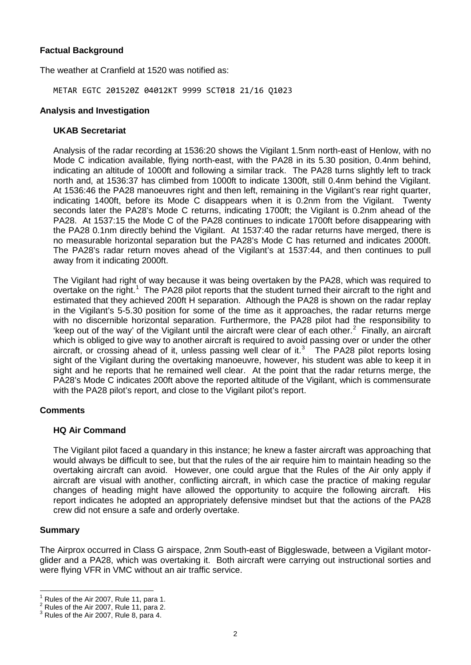# **Factual Background**

The weather at Cranfield at 1520 was notified as:

METAR EGTC 201520Z 04012KT 9999 SCT018 21/16 Q1023

#### **Analysis and Investigation**

#### **UKAB Secretariat**

Analysis of the radar recording at 1536:20 shows the Vigilant 1.5nm north-east of Henlow, with no Mode C indication available, flying north-east, with the PA28 in its 5.30 position, 0.4nm behind, indicating an altitude of 1000ft and following a similar track. The PA28 turns slightly left to track north and, at 1536:37 has climbed from 1000ft to indicate 1300ft, still 0.4nm behind the Vigilant. At 1536:46 the PA28 manoeuvres right and then left, remaining in the Vigilant's rear right quarter, indicating 1400ft, before its Mode C disappears when it is 0.2nm from the Vigilant. Twenty seconds later the PA28's Mode C returns, indicating 1700ft; the Vigilant is 0.2nm ahead of the PA28. At 1537:15 the Mode C of the PA28 continues to indicate 1700ft before disappearing with the PA28 0.1nm directly behind the Vigilant. At 1537:40 the radar returns have merged, there is no measurable horizontal separation but the PA28's Mode C has returned and indicates 2000ft. The PA28's radar return moves ahead of the Vigilant's at 1537:44, and then continues to pull away from it indicating 2000ft.

The Vigilant had right of way because it was being overtaken by the PA28, which was required to overtake on the right.<sup>[1](#page-1-0)</sup> The PA28 pilot reports that the student turned their aircraft to the right and estimated that they achieved 200ft H separation. Although the PA28 is shown on the radar replay in the Vigilant's 5-5.30 position for some of the time as it approaches, the radar returns merge with no discernible horizontal separation. Furthermore, the PA28 pilot had the responsibility to 'keep out of the way' of the Vigilant until the aircraft were clear of each other.<sup>[2](#page-1-1)</sup> Finally, an aircraft which is obliged to give way to another aircraft is required to avoid passing over or under the other aircraft, or crossing ahead of it, unless passing well clear of it.<sup>[3](#page-1-2)</sup> The PA28 pilot reports losing sight of the Vigilant during the overtaking manoeuvre, however, his student was able to keep it in sight and he reports that he remained well clear. At the point that the radar returns merge, the PA28's Mode C indicates 200ft above the reported altitude of the Vigilant, which is commensurate with the PA28 pilot's report, and close to the Vigilant pilot's report.

### **Comments**

### **HQ Air Command**

The Vigilant pilot faced a quandary in this instance; he knew a faster aircraft was approaching that would always be difficult to see, but that the rules of the air require him to maintain heading so the overtaking aircraft can avoid. However, one could argue that the Rules of the Air only apply if aircraft are visual with another, conflicting aircraft, in which case the practice of making regular changes of heading might have allowed the opportunity to acquire the following aircraft. His report indicates he adopted an appropriately defensive mindset but that the actions of the PA28 crew did not ensure a safe and orderly overtake.

#### **Summary**

The Airprox occurred in Class G airspace, 2nm South-east of Biggleswade, between a Vigilant motorglider and a PA28, which was overtaking it. Both aircraft were carrying out instructional sorties and were flying VFR in VMC without an air traffic service.

<span id="page-1-0"></span><sup>&</sup>lt;sup>1</sup> Rules of the Air 2007, Rule 11, para 1.<br><sup>2</sup> Rules of the Air 2007, Rule 11, para 2.<br><sup>3</sup> Rules of the Air 2007, Rule 8, para 4.

<span id="page-1-2"></span><span id="page-1-1"></span>